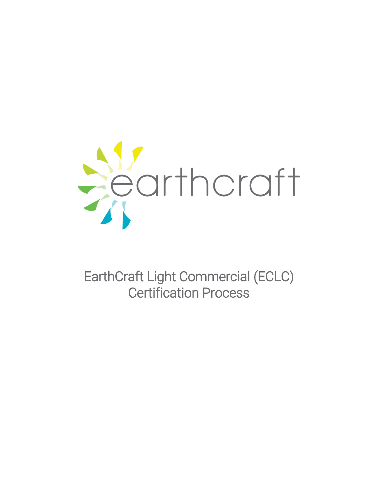

EarthCraft Light Commercial (ECLC) Certification Process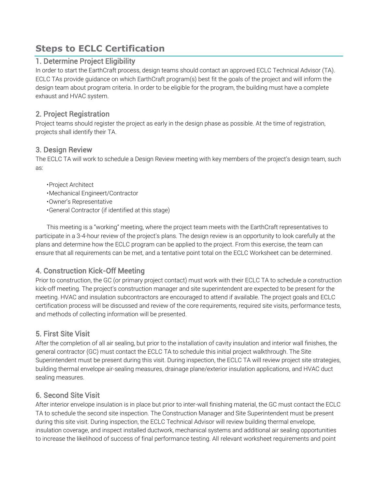# **Steps to ECLC Certification**

#### 1. Determine Project Eligibility

In order to start the EarthCraft process, design teams should contact an approved ECLC Technical Advisor (TA). ECLC TAs provide guidance on which EarthCraft program(s) best fit the goals of the project and will inform the design team about program criteria. In order to be eligible for the program, the building must have a complete exhaust and HVAC system.

#### 2. Project Registration

Project teams should register the project as early in the design phase as possible. At the time of registration, projects shall identify their TA.

#### 3. Design Review

The ECLC TA will work to schedule a Design Review meeting with key members of the project's design team, such as:

- •Project Architect
- •Mechanical Engineert/Contractor
- •Owner's Representative
- •General Contractor (if identified at this stage)

This meeting is a "working" meeting, where the project team meets with the EarthCraft representatives to participate in a 3-4-hour review of the project's plans. The design review is an opportunity to look carefully at the plans and determine how the ECLC program can be applied to the project. From this exercise, the team can ensure that all requirements can be met, and a tentative point total on the ECLC Worksheet can be determined.

## 4. Construction Kick-Off Meeting

Prior to construction, the GC (or primary project contact) must work with their ECLC TA to schedule a construction kick-off meeting. The project's construction manager and site superintendent are expected to be present for the meeting. HVAC and insulation subcontractors are encouraged to attend if available. The project goals and ECLC certification process will be discussed and review of the core requirements, required site visits, performance tests, and methods of collecting information will be presented.

## 5. First Site Visit

After the completion of all air sealing, but prior to the installation of cavity insulation and interior wall finishes, the general contractor (GC) must contact the ECLC TA to schedule this initial project walkthrough. The Site Superintendent must be present during this visit. During inspection, the ECLC TA will review project site strategies, building thermal envelope air-sealing measures, drainage plane/exterior insulation applications, and HVAC duct sealing measures.

#### 6. Second Site Visit

After interior envelope insulation is in place but prior to inter-wall finishing material, the GC must contact the ECLC TA to schedule the second site inspection. The Construction Manager and Site Superintendent must be present during this site visit. During inspection, the ECLC Technical Advisor will review building thermal envelope, insulation coverage, and inspect installed ductwork, mechanical systems and additional air sealing opportunities to increase the likelihood of success of final performance testing. All relevant worksheet requirements and point